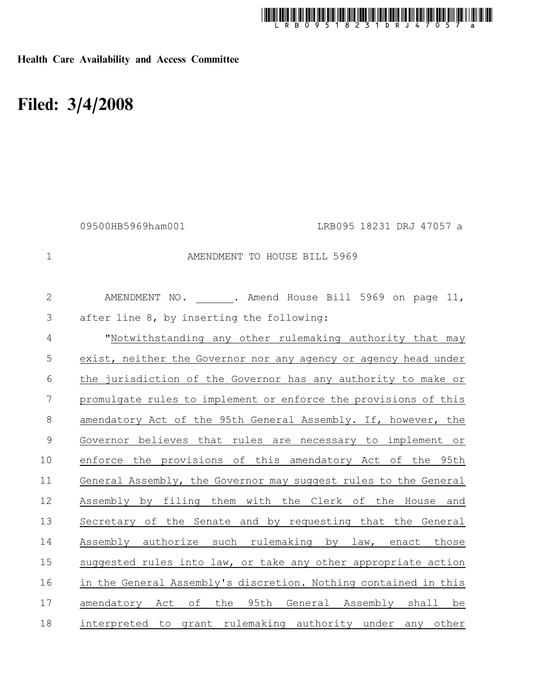

Health Care Availability and Access Committee

## Filed: 3/4/2008

|                | 09500HB5969ham001                                             | LRB095 18231 DRJ 47057 a                                        |
|----------------|---------------------------------------------------------------|-----------------------------------------------------------------|
| $\mathbf 1$    |                                                               | AMENDMENT TO HOUSE BILL 5969                                    |
| $\mathbf{2}$   |                                                               | AMENDMENT NO. ______. Amend House Bill 5969 on page 11,         |
| $\mathfrak{Z}$ | after line 8, by inserting the following:                     |                                                                 |
| $\overline{4}$ |                                                               | "Notwithstanding any other rulemaking authority that may        |
| 5              |                                                               | exist, neither the Governor nor any agency or agency head under |
| 6              |                                                               | the jurisdiction of the Governor has any authority to make or   |
| 7              |                                                               | promulgate rules to implement or enforce the provisions of this |
| $\,8\,$        | amendatory Act of the 95th General Assembly. If, however, the |                                                                 |
| $\mathsf 9$    |                                                               | Governor believes that rules are necessary to implement or      |
| 10             |                                                               | enforce the provisions of this amendatory Act of the 95th       |
| 11             |                                                               | General Assembly, the Governor may suggest rules to the General |
| 12             |                                                               | Assembly by filing them with the Clerk of the House and         |
| 13             |                                                               | Secretary of the Senate and by requesting that the General      |
| 14             |                                                               | Assembly authorize such rulemaking by law, enact those          |
| 15             |                                                               | suggested rules into law, or take any other appropriate action  |
| 16             |                                                               | in the General Assembly's discretion. Nothing contained in this |
| 17             |                                                               | amendatory Act of the 95th General Assembly shall be            |
| 18             |                                                               | interpreted to grant rulemaking authority under any other       |